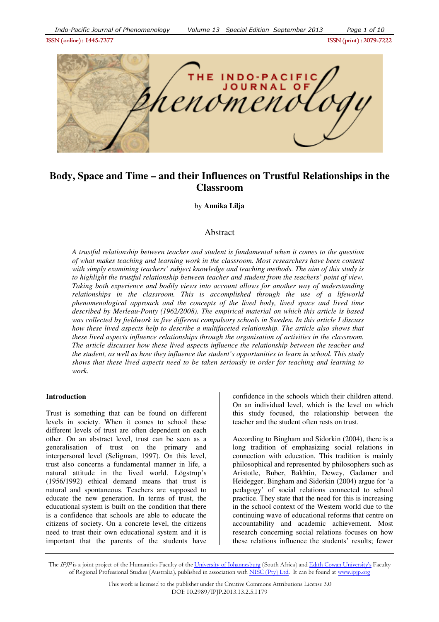

# **Body, Space and Time – and their Influences on Trustful Relationships in the Classroom**

by **Annika Lilja** 

## Abstract

*A trustful relationship between teacher and student is fundamental when it comes to the question of what makes teaching and learning work in the classroom. Most researchers have been content with simply examining teachers' subject knowledge and teaching methods. The aim of this study is to highlight the trustful relationship between teacher and student from the teachers' point of view. Taking both experience and bodily views into account allows for another way of understanding relationships in the classroom. This is accomplished through the use of a lifeworld phenomenological approach and the concepts of the lived body, lived space and lived time described by Merleau-Ponty (1962/2008). The empirical material on which this article is based was collected by fieldwork in five different compulsory schools in Sweden. In this article I discuss how these lived aspects help to describe a multifaceted relationship. The article also shows that these lived aspects influence relationships through the organisation of activities in the classroom. The article discusses how these lived aspects influence the relationship between the teacher and the student, as well as how they influence the student's opportunities to learn in school. This study shows that these lived aspects need to be taken seriously in order for teaching and learning to work.* 

#### **Introduction**

Trust is something that can be found on different levels in society. When it comes to school these different levels of trust are often dependent on each other. On an abstract level, trust can be seen as a generalisation of trust on the primary and interpersonal level (Seligman, 1997). On this level, trust also concerns a fundamental manner in life, a natural attitude in the lived world. Lögstrup's (1956/1992) ethical demand means that trust is natural and spontaneous. Teachers are supposed to educate the new generation. In terms of trust, the educational system is built on the condition that there is a confidence that schools are able to educate the citizens of society. On a concrete level, the citizens need to trust their own educational system and it is important that the parents of the students have confidence in the schools which their children attend. On an individual level, which is the level on which this study focused, the relationship between the teacher and the student often rests on trust.

According to Bingham and Sidorkin (2004), there is a long tradition of emphasizing social relations in connection with education. This tradition is mainly philosophical and represented by philosophers such as Aristotle, Buber, Bakhtin, Dewey, Gadamer and Heidegger. Bingham and Sidorkin (2004) argue for 'a pedagogy' of social relations connected to school practice. They state that the need for this is increasing in the school context of the Western world due to the continuing wave of educational reforms that centre on accountability and academic achievement. Most research concerning social relations focuses on how these relations influence the students' results; fewer

The IPJP is a joint project of the Humanities Faculty of the University of Johannesburg (South Africa) and Edith Cowan University's Faculty of Regional Professional Studies (Australia), published in association with NISC (Pty) Ltd. It can be found at www.ipjp.org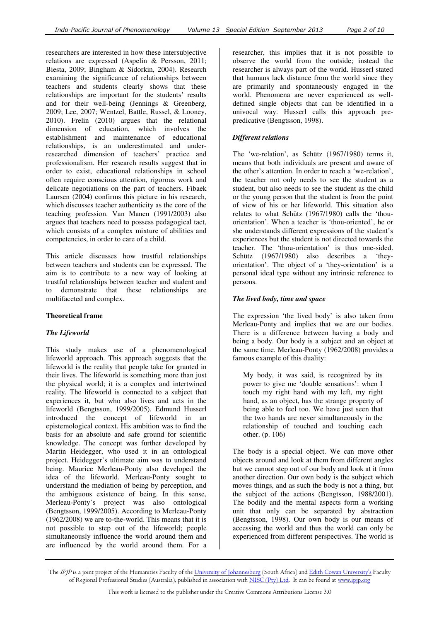researchers are interested in how these intersubjective relations are expressed (Aspelin & Persson, 2011; Biesta, 2009; Bingham & Sidorkin, 2004). Research examining the significance of relationships between teachers and students clearly shows that these relationships are important for the students' results and for their well-being (Jennings & Greenberg, 2009; Lee, 2007; Wentzel, Battle, Russel, & Looney, 2010). Frelin (2010) argues that the relational dimension of education, which involves the establishment and maintenance of educational relationships, is an underestimated and underresearched dimension of teachers' practice and professionalism. Her research results suggest that in order to exist, educational relationships in school often require conscious attention, rigorous work and delicate negotiations on the part of teachers. Fibaek Laursen (2004) confirms this picture in his research, which discusses teacher authenticity as the core of the teaching profession. Van Manen (1991/2003) also argues that teachers need to possess pedagogical tact, which consists of a complex mixture of abilities and competencies, in order to care of a child.

This article discusses how trustful relationships between teachers and students can be expressed. The aim is to contribute to a new way of looking at trustful relationships between teacher and student and to demonstrate that these relationships are multifaceted and complex.

#### **Theoretical frame**

## *The Lifeworld*

This study makes use of a phenomenological lifeworld approach. This approach suggests that the lifeworld is the reality that people take for granted in their lives. The lifeworld is something more than just the physical world; it is a complex and intertwined reality. The lifeworld is connected to a subject that experiences it, but who also lives and acts in the lifeworld (Bengtsson, 1999/2005). Edmund Husserl introduced the concept of lifeworld in an epistemological context. His ambition was to find the basis for an absolute and safe ground for scientific knowledge. The concept was further developed by Martin Heidegger, who used it in an ontological project. Heidegger's ultimate aim was to understand being. Maurice Merleau-Ponty also developed the idea of the lifeworld. Merleau-Ponty sought to understand the mediation of being by perception, and the ambiguous existence of being. In this sense, Merleau-Ponty's project was also ontological (Bengtsson, 1999/2005). According to Merleau-Ponty (1962/2008) we are to-the-world. This means that it is not possible to step out of the lifeworld; people simultaneously influence the world around them and are influenced by the world around them. For a

researcher, this implies that it is not possible to observe the world from the outside; instead the researcher is always part of the world. Husserl stated that humans lack distance from the world since they are primarily and spontaneously engaged in the world. Phenomena are never experienced as welldefined single objects that can be identified in a univocal way. Husserl calls this approach prepredicative (Bengtsson, 1998).

#### *Different relations*

The 'we-relation', as Schütz (1967/1980) terms it, means that both individuals are present and aware of the other's attention. In order to reach a 'we-relation', the teacher not only needs to see the student as a student, but also needs to see the student as the child or the young person that the student is from the point of view of his or her lifeworld. This situation also relates to what Schütz (1967/1980) calls the 'thouorientation'. When a teacher is 'thou-oriented', he or she understands different expressions of the student's experiences but the student is not directed towards the teacher. The 'thou-orientation' is thus one-sided. Schütz (1967/1980) also describes a 'theyorientation'. The object of a 'they-orientation' is a personal ideal type without any intrinsic reference to persons.

#### *The lived body, time and space*

The expression 'the lived body' is also taken from Merleau-Ponty and implies that we are our bodies. There is a difference between having a body and being a body. Our body is a subject and an object at the same time. Merleau-Ponty (1962/2008) provides a famous example of this duality:

My body, it was said, is recognized by its power to give me 'double sensations': when I touch my right hand with my left, my right hand, as an object, has the strange property of being able to feel too. We have just seen that the two hands are never simultaneously in the relationship of touched and touching each other. (p. 106)

The body is a special object. We can move other objects around and look at them from different angles but we cannot step out of our body and look at it from another direction. Our own body is the subject which moves things, and as such the body is not a thing, but the subject of the actions (Bengtsson, 1988/2001). The bodily and the mental aspects form a working unit that only can be separated by abstraction (Bengtsson, 1998). Our own body is our means of accessing the world and thus the world can only be experienced from different perspectives. The world is

The IPJP is a joint project of the Humanities Faculty of the University of Johannesburg (South Africa) and Edith Cowan University's Faculty of Regional Professional Studies (Australia), published in association with NISC (Pty) Ltd. It can be found at www.ipjp.org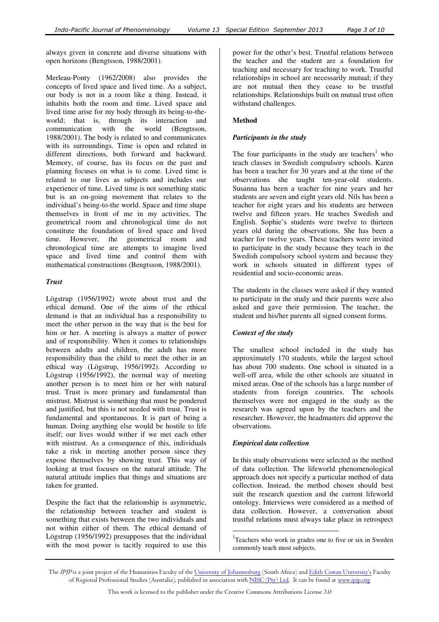always given in concrete and diverse situations with open horizons (Bengtsson, 1988/2001).

Merleau-Ponty (1962/2008) also provides the concepts of lived space and lived time. As a subject, our body is not in a room like a thing. Instead, it inhabits both the room and time. Lived space and lived time arise for my body through its being-to-theworld; that is, through its interaction and communication with the world (Bengtsson, 1988/2001). The body is related to and communicates with its surroundings. Time is open and related in different directions, both forward and backward. Memory, of course, has its focus on the past and planning focuses on what is to come. Lived time is related to our lives as subjects and includes our experience of time. Lived time is not something static but is an on-going movement that relates to the individual's being-to-the world. Space and time shape themselves in front of me in my activities. The geometrical room and chronological time do not constitute the foundation of lived space and lived time. However, the geometrical room and chronological time are attempts to imagine lived space and lived time and control them with mathematical constructions (Bengtsson, 1988/2001).

## *Trust*

Lögstrup (1956/1992) wrote about trust and the ethical demand. One of the aims of the ethical demand is that an individual has a responsibility to meet the other person in the way that is the best for him or her. A meeting is always a matter of power and of responsibility. When it comes to relationships between adults and children, the adult has more responsibility than the child to meet the other in an ethical way (Lögstrup, 1956/1992). According to Lögstrup (1956/1992), the normal way of meeting another person is to meet him or her with natural trust. Trust is more primary and fundamental than mistrust. Mistrust is something that must be pondered and justified, but this is not needed with trust. Trust is fundamental and spontaneous. It is part of being a human. Doing anything else would be hostile to life itself; our lives would wither if we met each other with mistrust. As a consequence of this, individuals take a risk in meeting another person since they expose themselves by showing trust. This way of looking at trust focuses on the natural attitude. The natural attitude implies that things and situations are taken for granted.

Despite the fact that the relationship is asymmetric, the relationship between teacher and student is something that exists between the two individuals and not within either of them. The ethical demand of Lögstrup (1956/1992) presupposes that the individual with the most power is tacitly required to use this

power for the other's best. Trustful relations between the teacher and the student are a foundation for teaching and necessary for teaching to work. Trustful relationships in school are necessarily mutual; if they are not mutual then they cease to be trustful relationships. Relationships built on mutual trust often withstand challenges.

#### **Method**

#### *Participants in the study*

The four participants in the study are teachers<sup>1</sup> who teach classes in Swedish compulsory schools. Karen has been a teacher for 30 years and at the time of the observations she taught ten-year-old students. Susanna has been a teacher for nine years and her students are seven and eight years old. Nils has been a teacher for eight years and his students are between twelve and fifteen years. He teaches Swedish and English. Sophie's students were twelve to thirteen years old during the observations. She has been a teacher for twelve years. These teachers were invited to participate in the study because they teach in the Swedish compulsory school system and because they work in schools situated in different types of residential and socio-economic areas.

The students in the classes were asked if they wanted to participate in the study and their parents were also asked and gave their permission. The teacher, the student and his/her parents all signed consent forms.

## *Context of the study*

The smallest school included in the study has approximately 170 students, while the largest school has about 700 students. One school is situated in a well-off area, while the other schools are situated in mixed areas. One of the schools has a large number of students from foreign countries. The schools themselves were not engaged in the study as the research was agreed upon by the teachers and the researcher. However, the headmasters did approve the observations.

## *Empirical data collection*

In this study observations were selected as the method of data collection. The lifeworld phenomenological approach does not specify a particular method of data collection. Instead, the method chosen should best suit the research question and the current lifeworld ontology. Interviews were considered as a method of data collection. However, a conversation about trustful relations must always take place in retrospect

<sup>1</sup>Teachers who work in grades one to five or six in Sweden commonly teach most subjects.

 $\overline{a}$ 

The IPJP is a joint project of the Humanities Faculty of the University of Johannesburg (South Africa) and Edith Cowan University's Faculty of Regional Professional Studies (Australia), published in association with NISC (Pty) Ltd. It can be found at www.ipjp.org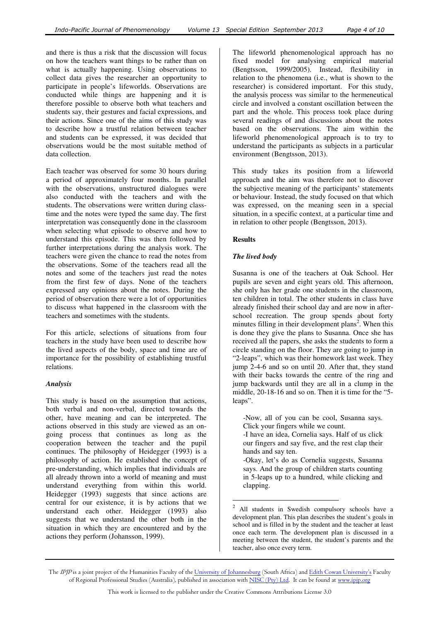and there is thus a risk that the discussion will focus on how the teachers want things to be rather than on what is actually happening. Using observations to collect data gives the researcher an opportunity to participate in people's lifeworlds. Observations are conducted while things are happening and it is therefore possible to observe both what teachers and students say, their gestures and facial expressions, and their actions. Since one of the aims of this study was to describe how a trustful relation between teacher and students can be expressed, it was decided that observations would be the most suitable method of data collection.

Each teacher was observed for some 30 hours during a period of approximately four months. In parallel with the observations, unstructured dialogues were also conducted with the teachers and with the students. The observations were written during classtime and the notes were typed the same day. The first interpretation was consequently done in the classroom when selecting what episode to observe and how to understand this episode. This was then followed by further interpretations during the analysis work. The teachers were given the chance to read the notes from the observations. Some of the teachers read all the notes and some of the teachers just read the notes from the first few of days. None of the teachers expressed any opinions about the notes. During the period of observation there were a lot of opportunities to discuss what happened in the classroom with the teachers and sometimes with the students.

For this article, selections of situations from four teachers in the study have been used to describe how the lived aspects of the body, space and time are of importance for the possibility of establishing trustful relations.

#### *Analysis*

This study is based on the assumption that actions, both verbal and non-verbal, directed towards the other, have meaning and can be interpreted. The actions observed in this study are viewed as an ongoing process that continues as long as the cooperation between the teacher and the pupil continues. The philosophy of Heidegger (1993) is a philosophy of action. He established the concept of pre-understanding, which implies that individuals are all already thrown into a world of meaning and must understand everything from within this world. Heidegger (1993) suggests that since actions are central for our existence, it is by actions that we understand each other. Heidegger (1993) also suggests that we understand the other both in the situation in which they are encountered and by the actions they perform (Johansson, 1999).

The lifeworld phenomenological approach has no fixed model for analysing empirical material (Bengtsson, 1999/2005). Instead, flexibility in relation to the phenomena (i.e., what is shown to the researcher) is considered important. For this study, the analysis process was similar to the hermeneutical circle and involved a constant oscillation between the part and the whole. This process took place during several readings of and discussions about the notes based on the observations. The aim within the lifeworld phenomenological approach is to try to understand the participants as subjects in a particular environment (Bengtsson, 2013).

This study takes its position from a lifeworld approach and the aim was therefore not to discover the subjective meaning of the participants' statements or behaviour. Instead, the study focused on that which was expressed, on the meaning seen in a special situation, in a specific context, at a particular time and in relation to other people (Bengtsson, 2013).

#### **Results**

## *The lived body*

Susanna is one of the teachers at Oak School. Her pupils are seven and eight years old. This afternoon, she only has her grade one students in the classroom, ten children in total. The other students in class have already finished their school day and are now in afterschool recreation. The group spends about forty minutes filling in their development plans<sup>2</sup>. When this is done they give the plans to Susanna. Once she has received all the papers, she asks the students to form a circle standing on the floor. They are going to jump in "2-leaps", which was their homework last week. They jump 2-4-6 and so on until 20. After that, they stand with their backs towards the centre of the ring and jump backwards until they are all in a clump in the middle, 20-18-16 and so on. Then it is time for the "5 leaps".

-Now, all of you can be cool, Susanna says. Click your fingers while we count. -I have an idea, Cornelia says. Half of us click our fingers and say five, and the rest clap their hands and say ten. -Okay, let's do as Cornelia suggests, Susanna

says. And the group of children starts counting in 5-leaps up to a hundred, while clicking and clapping.

 $\sqrt{2}$ <sup>2</sup> All students in Swedish compulsory schools have a development plan. This plan describes the student's goals in school and is filled in by the student and the teacher at least once each term. The development plan is discussed in a meeting between the student, the student's parents and the teacher, also once every term.

The IPJP is a joint project of the Humanities Faculty of the University of Johannesburg (South Africa) and Edith Cowan University's Faculty of Regional Professional Studies (Australia), published in association with NISC (Pty) Ltd. It can be found at www.ipjp.org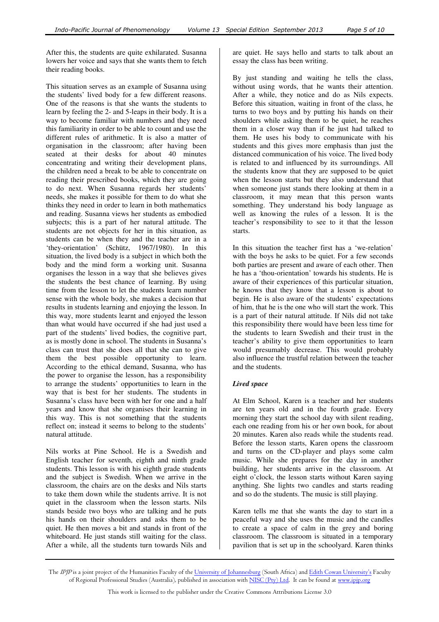After this, the students are quite exhilarated. Susanna lowers her voice and says that she wants them to fetch their reading books.

This situation serves as an example of Susanna using the students' lived body for a few different reasons. One of the reasons is that she wants the students to learn by feeling the 2- and 5-leaps in their body. It is a way to become familiar with numbers and they need this familiarity in order to be able to count and use the different rules of arithmetic. It is also a matter of organisation in the classroom; after having been seated at their desks for about 40 minutes concentrating and writing their development plans, the children need a break to be able to concentrate on reading their prescribed books, which they are going to do next. When Susanna regards her students' needs, she makes it possible for them to do what she thinks they need in order to learn in both mathematics and reading. Susanna views her students as embodied subjects; this is a part of her natural attitude. The students are not objects for her in this situation, as students can be when they and the teacher are in a 'they-orientation' (Schütz, 1967/1980). In this situation, the lived body is a subject in which both the body and the mind form a working unit. Susanna organises the lesson in a way that she believes gives the students the best chance of learning. By using time from the lesson to let the students learn number sense with the whole body, she makes a decision that results in students learning and enjoying the lesson. In this way, more students learnt and enjoyed the lesson than what would have occurred if she had just used a part of the students' lived bodies, the cognitive part, as is mostly done in school. The students in Susanna's class can trust that she does all that she can to give them the best possible opportunity to learn. According to the ethical demand, Susanna, who has the power to organise the lesson, has a responsibility to arrange the students' opportunities to learn in the way that is best for her students. The students in Susanna's class have been with her for one and a half years and know that she organises their learning in this way. This is not something that the students reflect on; instead it seems to belong to the students' natural attitude.

Nils works at Pine School. He is a Swedish and English teacher for seventh, eighth and ninth grade students. This lesson is with his eighth grade students and the subject is Swedish. When we arrive in the classroom, the chairs are on the desks and Nils starts to take them down while the students arrive. It is not quiet in the classroom when the lesson starts. Nils stands beside two boys who are talking and he puts his hands on their shoulders and asks them to be quiet. He then moves a bit and stands in front of the whiteboard. He just stands still waiting for the class. After a while, all the students turn towards Nils and

are quiet. He says hello and starts to talk about an essay the class has been writing.

By just standing and waiting he tells the class, without using words, that he wants their attention. After a while, they notice and do as Nils expects. Before this situation, waiting in front of the class, he turns to two boys and by putting his hands on their shoulders while asking them to be quiet, he reaches them in a closer way than if he just had talked to them. He uses his body to communicate with his students and this gives more emphasis than just the distanced communication of his voice. The lived body is related to and influenced by its surroundings. All the students know that they are supposed to be quiet when the lesson starts but they also understand that when someone just stands there looking at them in a classroom, it may mean that this person wants something. They understand his body language as well as knowing the rules of a lesson. It is the teacher's responsibility to see to it that the lesson starts.

In this situation the teacher first has a 'we-relation' with the boys he asks to be quiet. For a few seconds both parties are present and aware of each other. Then he has a 'thou-orientation' towards his students. He is aware of their experiences of this particular situation, he knows that they know that a lesson is about to begin. He is also aware of the students' expectations of him, that he is the one who will start the work. This is a part of their natural attitude. If Nils did not take this responsibility there would have been less time for the students to learn Swedish and their trust in the teacher's ability to give them opportunities to learn would presumably decrease. This would probably also influence the trustful relation between the teacher and the students.

## *Lived space*

At Elm School, Karen is a teacher and her students are ten years old and in the fourth grade. Every morning they start the school day with silent reading, each one reading from his or her own book, for about 20 minutes. Karen also reads while the students read. Before the lesson starts, Karen opens the classroom and turns on the CD-player and plays some calm music. While she prepares for the day in another building, her students arrive in the classroom. At eight o'clock, the lesson starts without Karen saying anything. She lights two candles and starts reading and so do the students. The music is still playing.

Karen tells me that she wants the day to start in a peaceful way and she uses the music and the candles to create a space of calm in the grey and boring classroom. The classroom is situated in a temporary pavilion that is set up in the schoolyard. Karen thinks

The IPJP is a joint project of the Humanities Faculty of the University of Johannesburg (South Africa) and Edith Cowan University's Faculty of Regional Professional Studies (Australia), published in association with NISC (Pty) Ltd. It can be found at www.ipjp.org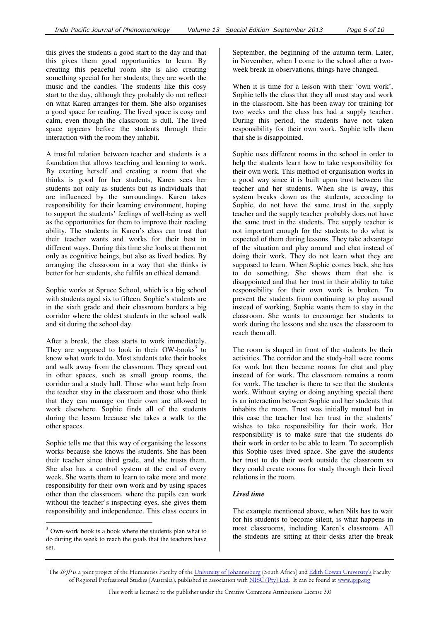this gives the students a good start to the day and that this gives them good opportunities to learn. By creating this peaceful room she is also creating something special for her students; they are worth the music and the candles. The students like this cosy start to the day, although they probably do not reflect on what Karen arranges for them. She also organises a good space for reading. The lived space is cosy and calm, even though the classroom is dull. The lived space appears before the students through their interaction with the room they inhabit.

A trustful relation between teacher and students is a foundation that allows teaching and learning to work. By exerting herself and creating a room that she thinks is good for her students, Karen sees her students not only as students but as individuals that are influenced by the surroundings. Karen takes responsibility for their learning environment, hoping to support the students' feelings of well-being as well as the opportunities for them to improve their reading ability. The students in Karen's class can trust that their teacher wants and works for their best in different ways. During this time she looks at them not only as cognitive beings, but also as lived bodies. By arranging the classroom in a way that she thinks is better for her students, she fulfils an ethical demand.

Sophie works at Spruce School, which is a big school with students aged six to fifteen. Sophie's students are in the sixth grade and their classroom borders a big corridor where the oldest students in the school walk and sit during the school day.

After a break, the class starts to work immediately. They are supposed to look in their OW-books<sup>3</sup> to know what work to do. Most students take their books and walk away from the classroom. They spread out in other spaces, such as small group rooms, the corridor and a study hall. Those who want help from the teacher stay in the classroom and those who think that they can manage on their own are allowed to work elsewhere. Sophie finds all of the students during the lesson because she takes a walk to the other spaces.

Sophie tells me that this way of organising the lessons works because she knows the students. She has been their teacher since third grade, and she trusts them. She also has a control system at the end of every week. She wants them to learn to take more and more responsibility for their own work and by using spaces other than the classroom, where the pupils can work without the teacher's inspecting eyes, she gives them responsibility and independence. This class occurs in

 $\overline{a}$ 

September, the beginning of the autumn term. Later, in November, when I come to the school after a twoweek break in observations, things have changed.

When it is time for a lesson with their 'own work', Sophie tells the class that they all must stay and work in the classroom. She has been away for training for two weeks and the class has had a supply teacher. During this period, the students have not taken responsibility for their own work. Sophie tells them that she is disappointed.

Sophie uses different rooms in the school in order to help the students learn how to take responsibility for their own work. This method of organisation works in a good way since it is built upon trust between the teacher and her students. When she is away, this system breaks down as the students, according to Sophie, do not have the same trust in the supply teacher and the supply teacher probably does not have the same trust in the students. The supply teacher is not important enough for the students to do what is expected of them during lessons. They take advantage of the situation and play around and chat instead of doing their work. They do not learn what they are supposed to learn. When Sophie comes back, she has to do something. She shows them that she is disappointed and that her trust in their ability to take responsibility for their own work is broken. To prevent the students from continuing to play around instead of working, Sophie wants them to stay in the classroom. She wants to encourage her students to work during the lessons and she uses the classroom to reach them all.

The room is shaped in front of the students by their activities. The corridor and the study-hall were rooms for work but then became rooms for chat and play instead of for work. The classroom remains a room for work. The teacher is there to see that the students work. Without saying or doing anything special there is an interaction between Sophie and her students that inhabits the room. Trust was initially mutual but in this case the teacher lost her trust in the students' wishes to take responsibility for their work. Her responsibility is to make sure that the students do their work in order to be able to learn. To accomplish this Sophie uses lived space. She gave the students her trust to do their work outside the classroom so they could create rooms for study through their lived relations in the room.

## *Lived time*

The example mentioned above, when Nils has to wait for his students to become silent, is what happens in most classrooms, including Karen's classroom. All the students are sitting at their desks after the break

 $3$  Own-work book is a book where the students plan what to do during the week to reach the goals that the teachers have set.

The IPJP is a joint project of the Humanities Faculty of the University of Johannesburg (South Africa) and Edith Cowan University's Faculty of Regional Professional Studies (Australia), published in association with NISC (Pty) Ltd. It can be found at www.ipjp.org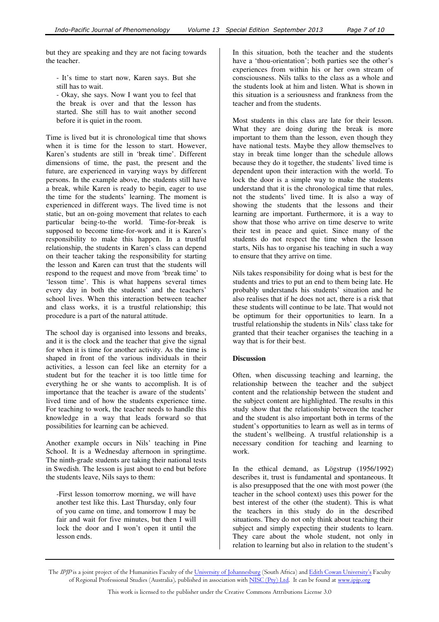but they are speaking and they are not facing towards the teacher.

- It's time to start now, Karen says. But she still has to wait.

- Okay, she says. Now I want you to feel that the break is over and that the lesson has started. She still has to wait another second before it is quiet in the room.

Time is lived but it is chronological time that shows when it is time for the lesson to start. However, Karen's students are still in 'break time'. Different dimensions of time, the past, the present and the future, are experienced in varying ways by different persons. In the example above, the students still have a break, while Karen is ready to begin, eager to use the time for the students' learning. The moment is experienced in different ways. The lived time is not static, but an on-going movement that relates to each particular being-to-the world. Time-for-break is supposed to become time-for-work and it is Karen's responsibility to make this happen. In a trustful relationship, the students in Karen's class can depend on their teacher taking the responsibility for starting the lesson and Karen can trust that the students will respond to the request and move from 'break time' to 'lesson time'. This is what happens several times every day in both the students' and the teachers' school lives. When this interaction between teacher and class works, it is a trustful relationship; this procedure is a part of the natural attitude.

The school day is organised into lessons and breaks, and it is the clock and the teacher that give the signal for when it is time for another activity. As the time is shaped in front of the various individuals in their activities, a lesson can feel like an eternity for a student but for the teacher it is too little time for everything he or she wants to accomplish. It is of importance that the teacher is aware of the students' lived time and of how the students experience time. For teaching to work, the teacher needs to handle this knowledge in a way that leads forward so that possibilities for learning can be achieved.

Another example occurs in Nils' teaching in Pine School. It is a Wednesday afternoon in springtime. The ninth-grade students are taking their national tests in Swedish. The lesson is just about to end but before the students leave, Nils says to them:

-First lesson tomorrow morning, we will have another test like this. Last Thursday, only four of you came on time, and tomorrow I may be fair and wait for five minutes, but then I will lock the door and I won't open it until the lesson ends.

In this situation, both the teacher and the students have a 'thou-orientation'; both parties see the other's experiences from within his or her own stream of consciousness. Nils talks to the class as a whole and the students look at him and listen. What is shown in this situation is a seriousness and frankness from the teacher and from the students.

Most students in this class are late for their lesson. What they are doing during the break is more important to them than the lesson, even though they have national tests. Maybe they allow themselves to stay in break time longer than the schedule allows because they do it together, the students' lived time is dependent upon their interaction with the world. To lock the door is a simple way to make the students understand that it is the chronological time that rules, not the students' lived time. It is also a way of showing the students that the lessons and their learning are important. Furthermore, it is a way to show that those who arrive on time deserve to write their test in peace and quiet. Since many of the students do not respect the time when the lesson starts, Nils has to organise his teaching in such a way to ensure that they arrive on time.

Nils takes responsibility for doing what is best for the students and tries to put an end to them being late. He probably understands his students' situation and he also realises that if he does not act, there is a risk that these students will continue to be late. That would not be optimum for their opportunities to learn. In a trustful relationship the students in Nils' class take for granted that their teacher organises the teaching in a way that is for their best.

## **Discussion**

Often, when discussing teaching and learning, the relationship between the teacher and the subject content and the relationship between the student and the subject content are highlighted. The results in this study show that the relationship between the teacher and the student is also important both in terms of the student's opportunities to learn as well as in terms of the student's wellbeing. A trustful relationship is a necessary condition for teaching and learning to work.

In the ethical demand, as Lögstrup (1956/1992) describes it, trust is fundamental and spontaneous. It is also presupposed that the one with most power (the teacher in the school context) uses this power for the best interest of the other (the student). This is what the teachers in this study do in the described situations. They do not only think about teaching their subject and simply expecting their students to learn. They care about the whole student, not only in relation to learning but also in relation to the student's

The IPJP is a joint project of the Humanities Faculty of the University of Johannesburg (South Africa) and Edith Cowan University's Faculty of Regional Professional Studies (Australia), published in association with NISC (Pty) Ltd. It can be found at www.ipjp.org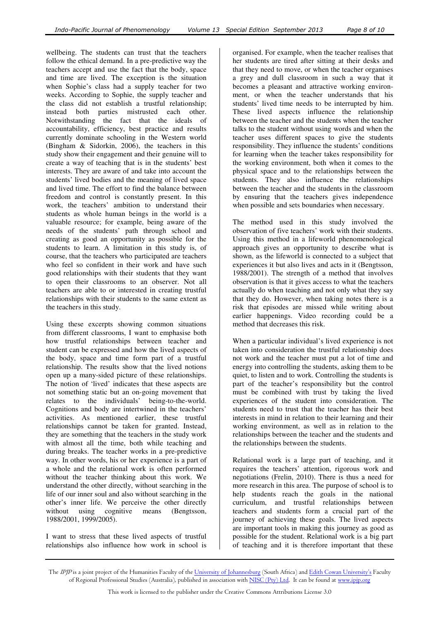wellbeing. The students can trust that the teachers follow the ethical demand. In a pre-predictive way the teachers accept and use the fact that the body, space and time are lived. The exception is the situation when Sophie's class had a supply teacher for two weeks. According to Sophie, the supply teacher and the class did not establish a trustful relationship; instead both parties mistrusted each other. Notwithstanding the fact that the ideals of accountability, efficiency, best practice and results currently dominate schooling in the Western world (Bingham & Sidorkin, 2006), the teachers in this study show their engagement and their genuine will to create a way of teaching that is in the students' best interests. They are aware of and take into account the students' lived bodies and the meaning of lived space and lived time. The effort to find the balance between freedom and control is constantly present. In this work, the teachers' ambition to understand their students as whole human beings in the world is a valuable resource; for example, being aware of the needs of the students' path through school and creating as good an opportunity as possible for the students to learn. A limitation in this study is, of course, that the teachers who participated are teachers who feel so confident in their work and have such good relationships with their students that they want to open their classrooms to an observer. Not all teachers are able to or interested in creating trustful relationships with their students to the same extent as the teachers in this study.

Using these excerpts showing common situations from different classrooms, I want to emphasise both how trustful relationships between teacher and student can be expressed and how the lived aspects of the body, space and time form part of a trustful relationship. The results show that the lived notions open up a many-sided picture of these relationships. The notion of 'lived' indicates that these aspects are not something static but an on-going movement that relates to the individuals' being-to-the-world. Cognitions and body are intertwined in the teachers' activities. As mentioned earlier, these trustful relationships cannot be taken for granted. Instead, they are something that the teachers in the study work with almost all the time, both while teaching and during breaks. The teacher works in a pre-predictive way. In other words, his or her experience is a part of a whole and the relational work is often performed without the teacher thinking about this work. We understand the other directly, without searching in the life of our inner soul and also without searching in the other's inner life. We perceive the other directly without using cognitive means (Bengtsson, 1988/2001, 1999/2005).

I want to stress that these lived aspects of trustful relationships also influence how work in school is

organised. For example, when the teacher realises that her students are tired after sitting at their desks and that they need to move, or when the teacher organises a grey and dull classroom in such a way that it becomes a pleasant and attractive working environment, or when the teacher understands that his students' lived time needs to be interrupted by him. These lived aspects influence the relationship between the teacher and the students when the teacher talks to the student without using words and when the teacher uses different spaces to give the students responsibility. They influence the students' conditions for learning when the teacher takes responsibility for the working environment, both when it comes to the physical space and to the relationships between the students. They also influence the relationships between the teacher and the students in the classroom by ensuring that the teachers gives independence when possible and sets boundaries when necessary.

The method used in this study involved the observation of five teachers' work with their students. Using this method in a lifeworld phenomenological approach gives an opportunity to describe what is shown, as the lifeworld is connected to a subject that experiences it but also lives and acts in it (Bengtsson, 1988/2001). The strength of a method that involves observation is that it gives access to what the teachers actually do when teaching and not only what they say that they do. However, when taking notes there is a risk that episodes are missed while writing about earlier happenings. Video recording could be a method that decreases this risk.

When a particular individual's lived experience is not taken into consideration the trustful relationship does not work and the teacher must put a lot of time and energy into controlling the students, asking them to be quiet, to listen and to work. Controlling the students is part of the teacher's responsibility but the control must be combined with trust by taking the lived experiences of the student into consideration. The students need to trust that the teacher has their best interests in mind in relation to their learning and their working environment, as well as in relation to the relationships between the teacher and the students and the relationships between the students.

Relational work is a large part of teaching, and it requires the teachers' attention, rigorous work and negotiations (Frelin, 2010). There is thus a need for more research in this area. The purpose of school is to help students reach the goals in the national curriculum, and trustful relationships between teachers and students form a crucial part of the journey of achieving these goals. The lived aspects are important tools in making this journey as good as possible for the student. Relational work is a big part of teaching and it is therefore important that these

The IPJP is a joint project of the Humanities Faculty of the University of Johannesburg (South Africa) and Edith Cowan University's Faculty of Regional Professional Studies (Australia), published in association with NISC (Pty) Ltd. It can be found at www.ipjp.org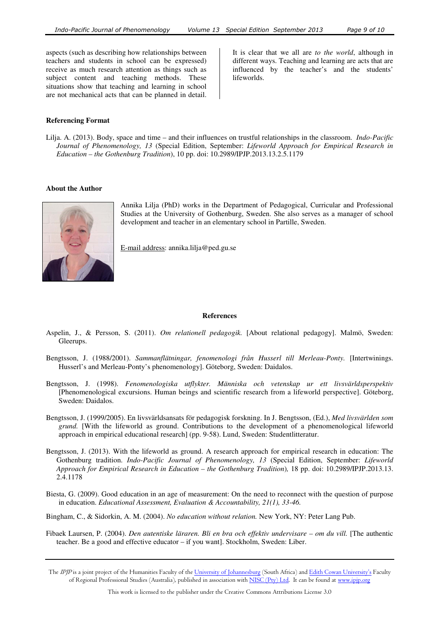aspects (such as describing how relationships between teachers and students in school can be expressed) receive as much research attention as things such as subject content and teaching methods. These situations show that teaching and learning in school are not mechanical acts that can be planned in detail.

It is clear that we all are *to the world*, although in different ways. Teaching and learning are acts that are influenced by the teacher's and the students' lifeworlds.

#### **Referencing Format**

Lilja. A. (2013). Body, space and time – and their influences on trustful relationships in the classroom. *Indo-Pacific Journal of Phenomenology, 13* (Special Edition, September: *Lifeworld Approach for Empirical Research in Education – the Gothenburg Tradition*), 10 pp. doi: 10.2989/IPJP.2013.13.2.5.1179

#### **About the Author**



Annika Lilja (PhD) works in the Department of Pedagogical, Curricular and Professional Studies at the University of Gothenburg, Sweden. She also serves as a manager of school development and teacher in an elementary school in Partille, Sweden.

E-mail address: annika.lilja@ped.gu.se

#### **References**

- Aspelin, J., & Persson, S. (2011). *Om relationell pedagogik.* [About relational pedagogy]. Malmö, Sweden: Gleerups.
- Bengtsson, J. (1988/2001). *Sammanflätningar, fenomenologi från Husserl till Merleau-Ponty.* [Intertwinings. Husserl's and Merleau-Ponty's phenomenology]. Göteborg, Sweden: Daidalos.
- Bengtsson, J. (1998). *Fenomenologiska utflykter. Människa och vetenskap ur ett livsvärldsperspektiv*  [Phenomenological excursions. Human beings and scientific research from a lifeworld perspective]. Göteborg, Sweden: Daidalos.
- Bengtsson, J. (1999/2005). En livsvärldsansats för pedagogisk forskning. In J. Bengtsson, (Ed.), *Med livsvärlden som grund.* [With the lifeworld as ground. Contributions to the development of a phenomenological lifeworld approach in empirical educational research] (pp. 9-58). Lund, Sweden: Studentlitteratur.
- Bengtsson, J. (2013). With the lifeworld as ground. A research approach for empirical research in education: The Gothenburg tradition. *Indo-Pacific Journal of Phenomenology, 13* (Special Edition, September: *Lifeworld Approach for Empirical Research in Education – the Gothenburg Tradition*)*,* 18 pp. doi: 10.2989/IPJP.2013.13. 2.4.1178
- Biesta, G. (2009). Good education in an age of measurement: On the need to reconnect with the question of purpose in education. *Educational Assessment, Evaluation & Accountability, 21(1), 33-46.*
- Bingham, C., & Sidorkin, A. M. (2004). *No education without relation.* New York, NY: Peter Lang Pub.
- Fibaek Laursen, P. (2004). *Den autentiske läraren. Bli en bra och effektiv undervisare om du vill.* [The authentic teacher. Be a good and effective educator – if you want]. Stockholm, Sweden: Liber.
- The IPJP is a joint project of the Humanities Faculty of the University of Johannesburg (South Africa) and Edith Cowan University's Faculty of Regional Professional Studies (Australia), published in association with NISC (Pty) Ltd. It can be found at www.ipjp.org